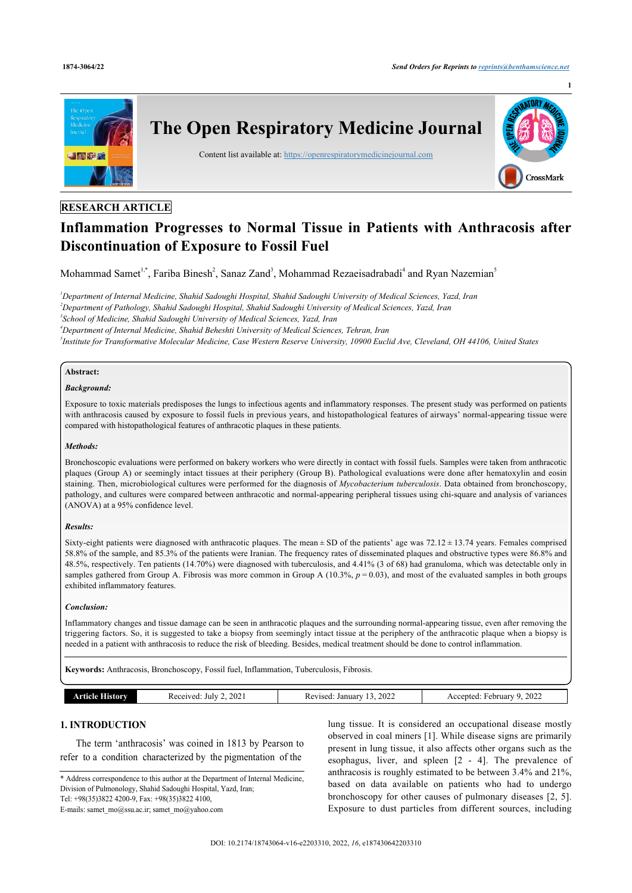

# **RESEARCH ARTICLE**

# **Inflammation Progresses to Normal Tissue in Patients with Anthracosis after Discontinuation of Exposure to Fossil Fuel**

Mohammad Samet<sup>[1](#page-0-0),[\\*](#page-0-1)</sup>, Fariba Binesh<sup>[2](#page-0-2)</sup>, Sanaz Zand<sup>[3](#page-0-3)</sup>, Mohammad Rezaeisadrabadi<sup>[4](#page-0-4)</sup> and Ryan Nazemian<sup>[5](#page-0-5)</sup>

<span id="page-0-4"></span><span id="page-0-3"></span><span id="page-0-2"></span><span id="page-0-0"></span>*Department of Internal Medicine, Shahid Sadoughi Hospital, Shahid Sadoughi University of Medical Sciences, Yazd, Iran Department of Pathology, Shahid Sadoughi Hospital, Shahid Sadoughi University of Medical Sciences, Yazd, Iran School of Medicine, Shahid Sadoughi University of Medical Sciences, Yazd, Iran Department of Internal Medicine, Shahid Beheshti University of Medical Sciences, Tehran, Iran Institute for Transformative Molecular Medicine, Case Western Reserve University, 10900 Euclid Ave, Cleveland, OH 44106, United States*

#### <span id="page-0-5"></span>**Abstract:**

#### *Background:*

Exposure to toxic materials predisposes the lungs to infectious agents and inflammatory responses. The present study was performed on patients with anthracosis caused by exposure to fossil fuels in previous years, and histopathological features of airways' normal-appearing tissue were compared with histopathological features of anthracotic plaques in these patients.

#### *Methods:*

Bronchoscopic evaluations were performed on bakery workers who were directly in contact with fossil fuels. Samples were taken from anthracotic plaques (Group A) or seemingly intact tissues at their periphery (Group B). Pathological evaluations were done after hematoxylin and eosin staining. Then, microbiological cultures were performed for the diagnosis of *Mycobacterium tuberculosis*. Data obtained from bronchoscopy, pathology, and cultures were compared between anthracotic and normal-appearing peripheral tissues using chi-square and analysis of variances (ANOVA) at a 95% confidence level.

#### *Results:*

Sixty-eight patients were diagnosed with anthracotic plaques. The mean ± SD of the patients' age was 72.12 ± 13.74 years. Females comprised 58.8% of the sample, and 85.3% of the patients were Iranian. The frequency rates of disseminated plaques and obstructive types were 86.8% and 48.5%, respectively. Ten patients (14.70%) were diagnosed with tuberculosis, and 4.41% (3 of 68) had granuloma, which was detectable only in samples gathered from Group A. Fibrosis was more common in Group A  $(10.3\%, p = 0.03)$ , and most of the evaluated samples in both groups exhibited inflammatory features.

#### *Conclusion:*

Inflammatory changes and tissue damage can be seen in anthracotic plaques and the surrounding normal-appearing tissue, even after removing the triggering factors. So, it is suggested to take a biopsy from seemingly intact tissue at the periphery of the anthracotic plaque when a biopsy is needed in a patient with anthracosis to reduce the risk of bleeding. Besides, medical treatment should be done to control inflammation.

**Keywords:** Anthracosis, Bronchoscopy, Fossil fuel, Inflammation, Tuberculosis, Fibrosis.

| History<br>הומו<br> | $\mathbf{v}$<br>July<br>$\sim$ $\sim$<br>.UZ | 2022<br>Januar<br>/ised<br>Kev | 2022<br>miarv<br>cented<br>ebri |
|---------------------|----------------------------------------------|--------------------------------|---------------------------------|

# **1. INTRODUCTION**

The term 'anthracosis' was coined in 1813 by Pearson to refer to a condition characterized by the pigmentation of the

<span id="page-0-1"></span>\* Address correspondence to this author at the Department of Internal Medicine, Division of Pulmonology, Shahid Sadoughi Hospital, Yazd, Iran; Tel: +98(35)3822 4200-9, Fax: +98(35)3822 4100,

lung tissue. It is considered an occupational disease mostly observed in coal miners [[1](#page-4-0)]. While disease signs are primarily present in lung tissue, it also affects other organs such as the esophagus, liver, and spleen [\[2](#page-4-1) - [4\]](#page-4-2). The prevalence of anthracosis is roughly estimated to be between 3.4% and 21%, based on data available on patients who had to undergo bronchoscopy for other causes of pulmonary diseases [\[2](#page-4-1), [5](#page-4-3)]. Exposure to dust particles from different sources, including

E-mails: [samet\\_mo@ssu.ac.ir](mailto:samet_mo@ssu.ac.ir); [samet\\_mo@yahoo.com](mailto:samet_mo@yahoo.com)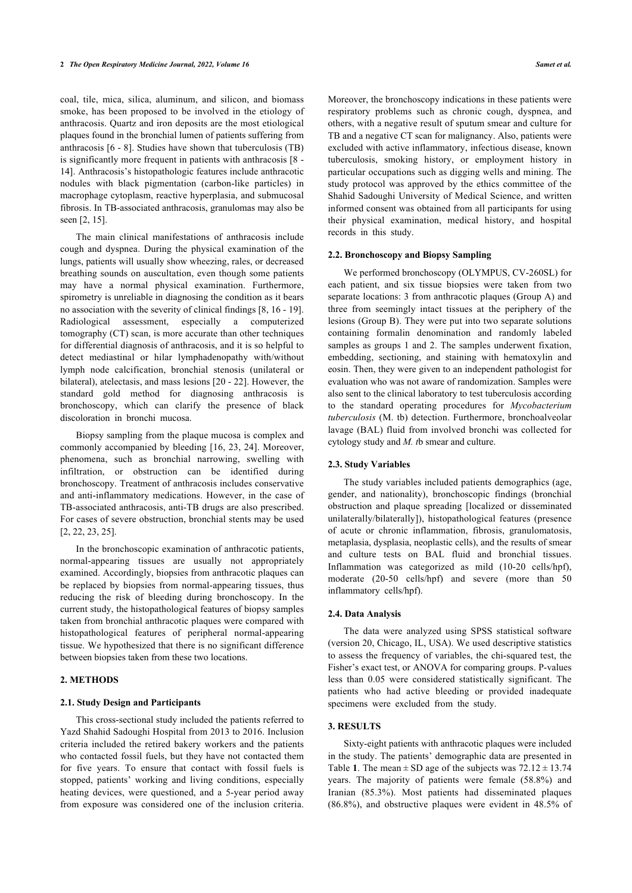coal, tile, mica, silica, aluminum, and silicon, and biomass smoke, has been proposed to be involved in the etiology of anthracosis. Quartz and iron deposits are the most etiological plaques found in the bronchial lumen of patients suffering from anthracosis [[6](#page-4-4) - [8](#page-4-5)]. Studies have shown that tuberculosis (TB) is significantly more frequent in patients with anthracosis [\[8](#page-4-5) - [14\]](#page-4-6). Anthracosis's histopathologic features include anthracotic nodules with black pigmentation (carbon-like particles) in macrophage cytoplasm, reactive hyperplasia, and submucosal fibrosis. In TB-associated anthracosis, granulomas may also be seen [[2](#page-4-1), [15\]](#page-4-7).

The main clinical manifestations of anthracosis include cough and dyspnea. During the physical examination of the lungs, patients will usually show wheezing, rales, or decreased breathing sounds on auscultation, even though some patients may have a normal physical examination. Furthermore, spirometry is unreliable in diagnosing the condition as it bears no association with the severity of clinical findings [\[8,](#page-4-5) [16](#page-4-8) - [19](#page-4-9)]. Radiological assessment, especially a computerized tomography (CT) scan, is more accurate than other techniques for differential diagnosis of anthracosis, and it is so helpful to detect mediastinal or hilar lymphadenopathy with/without lymph node calcification, bronchial stenosis (unilateral or bilateral), atelectasis, and mass lesions [\[20](#page-4-10) - [22](#page-4-11)]. However, the standard gold method for diagnosing anthracosis is bronchoscopy, which can clarify the presence of black discoloration in bronchi mucosa.

Biopsy sampling from the plaque mucosa is complex and commonly accompanied by bleeding [[16](#page-4-8), [23,](#page-4-1) [24](#page-4-12)]. Moreover, phenomena, such as bronchial narrowing, swelling with infiltration, or obstruction can be identified during bronchoscopy. Treatment of anthracosis includes conservative and anti-inflammatory medications. However, in the case of TB-associated anthracosis, anti-TB drugs are also prescribed. For cases of severe obstruction, bronchial stents may be used [[2](#page-4-1), [22,](#page-4-11) [23](#page-4-1), [25\]](#page-4-13).

In the bronchoscopic examination of anthracotic patients, normal-appearing tissues are usually not appropriately examined. Accordingly, biopsies from anthracotic plaques can be replaced by biopsies from normal-appearing tissues, thus reducing the risk of bleeding during bronchoscopy. In the current study, the histopathological features of biopsy samples taken from bronchial anthracotic plaques were compared with histopathological features of peripheral normal-appearing tissue. We hypothesized that there is no significant difference between biopsies taken from these two locations.

# **2. METHODS**

#### **2.1. Study Design and Participants**

This cross-sectional study included the patients referred to Yazd Shahid Sadoughi Hospital from 2013 to 2016. Inclusion criteria included the retired bakery workers and the patients who contacted fossil fuels, but they have not contacted them for five years. To ensure that contact with fossil fuels is stopped, patients' working and living conditions, especially heating devices, were questioned, and a 5-year period away from exposure was considered one of the inclusion criteria.

Moreover, the bronchoscopy indications in these patients were respiratory problems such as chronic cough, dyspnea, and others, with a negative result of sputum smear and culture for TB and a negative CT scan for malignancy. Also, patients were excluded with active inflammatory, infectious disease, known tuberculosis, smoking history, or employment history in particular occupations such as digging wells and mining. The study protocol was approved by the ethics committee of the Shahid Sadoughi University of Medical Science, and written informed consent was obtained from all participants for using their physical examination, medical history, and hospital records in this study.

#### **2.2. Bronchoscopy and Biopsy Sampling**

We performed bronchoscopy (OLYMPUS, CV-260SL) for each patient, and six tissue biopsies were taken from two separate locations: 3 from anthracotic plaques (Group A) and three from seemingly intact tissues at the periphery of the lesions (Group B). They were put into two separate solutions containing formalin denomination and randomly labeled samples as groups 1 and 2. The samples underwent fixation, embedding, sectioning, and staining with hematoxylin and eosin. Then, they were given to an independent pathologist for evaluation who was not aware of randomization. Samples were also sent to the clinical laboratory to test tuberculosis according to the standard operating procedures for *Mycobacterium tuberculosis* (M. tb) detection. Furthermore, bronchoalveolar lavage (BAL) fluid from involved bronchi was collected for cytology study and *M. t*b smear and culture.

#### **2.3. Study Variables**

The study variables included patients demographics (age, gender, and nationality), bronchoscopic findings (bronchial obstruction and plaque spreading [localized or disseminated unilaterally/bilaterally]), histopathological features (presence of acute or chronic inflammation, fibrosis, granulomatosis, metaplasia, dysplasia, neoplastic cells), and the results of smear and culture tests on BAL fluid and bronchial tissues. Inflammation was categorized as mild (10-20 cells/hpf), moderate (20-50 cells/hpf) and severe (more than 50 inflammatory cells/hpf).

#### **2.4. Data Analysis**

The data were analyzed using SPSS statistical software (version 20, Chicago, IL, USA). We used descriptive statistics to assess the frequency of variables, the chi-squared test, the Fisher's exact test, or ANOVA for comparing groups. P-values less than 0.05 were considered statistically significant. The patients who had active bleeding or provided inadequate specimens were excluded from the study.

#### **3. RESULTS**

Sixty-eight patients with anthracotic plaques were included in the study. The patients' demographic data are presented in Table **[1](#page-2-0)**. The mean  $\pm$  SD age of the subjects was  $72.12 \pm 13.74$ years. The majority of patients were female (58.8%) and Iranian (85.3%). Most patients had disseminated plaques (86.8%), and obstructive plaques were evident in 48.5% of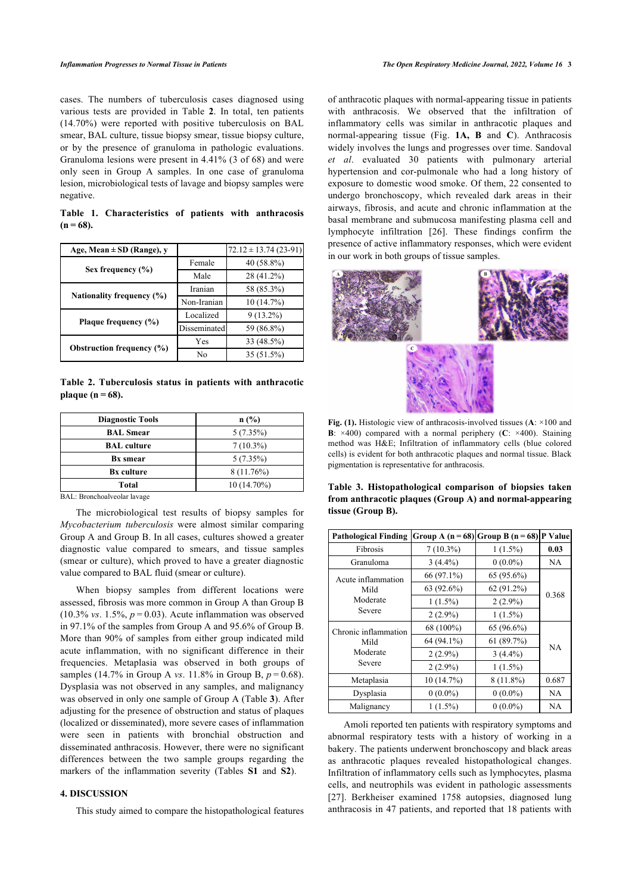cases. The numbers of tuberculosis cases diagnosed using various tests are provided in Table**2**. In total, ten patients (14.70%) were reported with positive tuberculosis on BAL smear, BAL culture, tissue biopsy smear, tissue biopsy culture, or by the presence of granuloma in pathologic evaluations. Granuloma lesions were present in 4.41% (3 of 68) and were only seen in Group A samples. In one case of granuloma lesion, microbiological tests of lavage and biopsy samples were negative.

<span id="page-2-0"></span>**Table 1. Characteristics of patients with anthracosis (n = 68).**

<span id="page-2-3"></span>

| Age, Mean $\pm$ SD (Range), y    |                           | $72.12 \pm 13.74(23-91)$ |
|----------------------------------|---------------------------|--------------------------|
| Sex frequency $(\% )$            | Female                    | 40 (58.8%)               |
|                                  | Male                      | 28 (41.2%)               |
| Nationality frequency (%)        | Iranian                   | 58 (85.3%)               |
|                                  | Non-Iranian               | 10(14.7%)                |
| Plaque frequency (%)             | Localized                 | $9(13.2\%)$              |
|                                  | Disseminated<br>Yes<br>No | 59 (86.8%)               |
| <b>Obstruction frequency (%)</b> |                           | 33 (48.5%)               |
|                                  |                           | 35 (51.5%)               |

<span id="page-2-1"></span>**Table 2. Tuberculosis status in patients with anthracotic plaque (n = 68).**

| <b>Diagnostic Tools</b> | n(%)          |
|-------------------------|---------------|
| <b>BAL</b> Smear        | $5(7.35\%)$   |
| <b>BAL</b> culture      | $7(10.3\%)$   |
| <b>Bx</b> smear         | $5(7.35\%)$   |
| <b>Bx</b> culture       | $8(11.76\%)$  |
| Total                   | $10(14.70\%)$ |

<span id="page-2-2"></span>BAL: Bronchoalveolar lavage

The microbiological test results of biopsy samples for *Mycobacterium tuberculosis* were almost similar comparing Group A and Group B. In all cases, cultures showed a greater diagnostic value compared to smears, and tissue samples (smear or culture), which proved to have a greater diagnostic value compared to BAL fluid (smear or culture).

When biopsy samples from different locations were assessed, fibrosis was more common in Group A than Group B (10.3% *vs.* 1.5%,  $p = 0.03$ ). Acute inflammation was observed in 97.1% of the samples from Group A and 95.6% of Group B. More than 90% of samples from either group indicated mild acute inflammation, with no significant difference in their frequencies. Metaplasia was observed in both groups of samples (14.7% in Group A *vs*. 11.8% in Group B, *p* = 0.68). Dysplasia was not observed in any samples, and malignancy was observed in only one sample of Group A (Table **[3](#page-2-2)**). After adjusting for the presence of obstruction and status of plaques (localized or disseminated), more severe cases of inflammation were seen in patients with bronchial obstruction and disseminated anthracosis. However, there were no significant differences between the two sample groups regarding the markers of the inflammation severity (Tables **S1** and **S2**).

#### **4. DISCUSSION**

This study aimed to compare the histopathological features

of anthracotic plaques with normal-appearing tissue in patients with anthracosis. We observed that the infiltration of inflammatory cells was similar in anthracotic plaques and normal-appearing tissue (Fig. **[1A, B](#page-2-3)** and **[C](#page-2-3)**). Anthracosis widely involves the lungs and progresses over time. Sandoval *et al*. evaluated 30 patients with pulmonary arterial hypertension and cor-pulmonale who had a long history of exposure to domestic wood smoke. Of them, 22 consented to undergo bronchoscopy, which revealed dark areas in their airways, fibrosis, and acute and chronic inflammation at the basal membrane and submucosa manifesting plasma cell and lymphocyte infiltration [\[26](#page-4-14)]. These findings confirm the presence of active inflammatory responses, which were evident in our work in both groups of tissue samples.



**Fig. (1).** Histologic view of anthracosis-involved tissues (**A**: ×100 and **B**: ×400) compared with a normal periphery (**C**: ×400). Staining method was H&E; Infiltration of inflammatory cells (blue colored cells) is evident for both anthracotic plaques and normal tissue. Black pigmentation is representative for anthracosis.

|                   | Table 3. Histopathological comparison of biopsies taken |  |  |
|-------------------|---------------------------------------------------------|--|--|
|                   | from anthracotic plaques (Group A) and normal-appearing |  |  |
| tissue (Group B). |                                                         |  |  |

| <b>Pathological Finding</b> | Group A $(n = 68)$ Group B $(n = 68)$ |             | P Value |  |
|-----------------------------|---------------------------------------|-------------|---------|--|
| Fibrosis                    | $7(10.3\%)$                           | $1(1.5\%)$  | 0.03    |  |
| Granuloma                   | $3(4.4\%)$                            | $0(0.0\%)$  | NA      |  |
| Acute inflammation          | 66 (97.1%)                            | 65 (95.6%)  | 0.368   |  |
| Mild                        | 63 (92.6%)                            | 62(91.2%)   |         |  |
| Moderate                    | $1(1.5\%)$                            | $2(2.9\%)$  |         |  |
| Severe                      | $2(2.9\%)$                            | $1(1.5\%)$  |         |  |
| Chronic inflammation        | 68 (100%)                             | 65 (96.6%)  |         |  |
| Mild                        | 64 (94.1%)                            | 61(89.7%)   | NA      |  |
| Moderate                    | $2(2.9\%)$                            | $3(4.4\%)$  |         |  |
| Severe                      | $2(2.9\%)$                            | $1(1.5\%)$  |         |  |
| Metaplasia                  | 10(14.7%)                             | $8(11.8\%)$ | 0.687   |  |
| Dysplasia                   | $0(0.0\%)$                            | $0(0.0\%)$  | NA      |  |
| Malignancy                  | $1(1.5\%)$                            | $0(0.0\%)$  | NA      |  |

Amoli reported ten patients with respiratory symptoms and abnormal respiratory tests with a history of working in a bakery. The patients underwent bronchoscopy and black areas as anthracotic plaques revealed histopathological changes. Infiltration of inflammatory cells such as lymphocytes, plasma cells, and neutrophils was evident in pathologic assessments [[27](#page-4-15)]. Berkheiser examined 1758 autopsies, diagnosed lung anthracosis in 47 patients, and reported that 18 patients with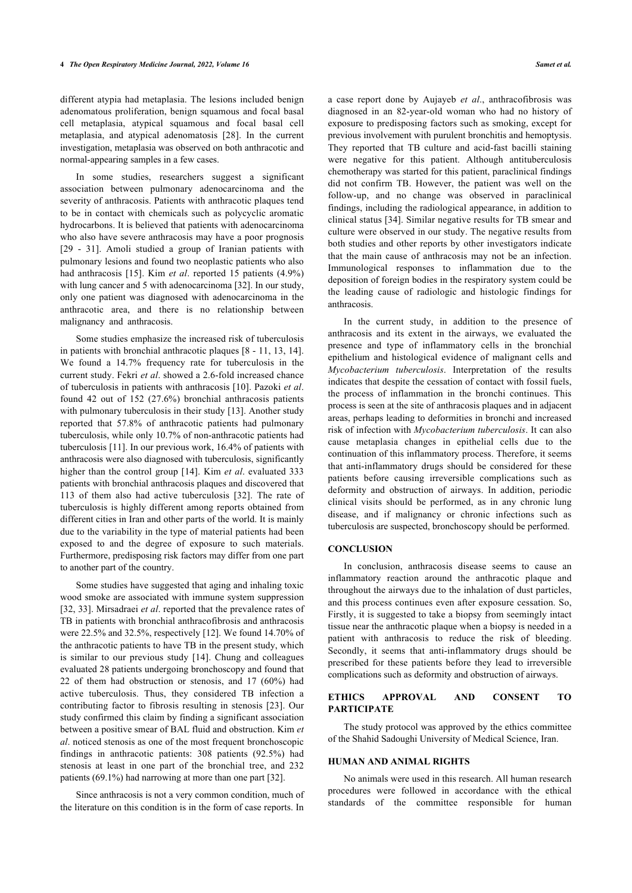different atypia had metaplasia. The lesions included benign adenomatous proliferation, benign squamous and focal basal cell metaplasia, atypical squamous and focal basal cell metaplasia, and atypical adenomatosis[[28\]](#page-4-16). In the current investigation, metaplasia was observed on both anthracotic and normal-appearing samples in a few cases.

In some studies, researchers suggest a significant association between pulmonary adenocarcinoma and the severity of anthracosis. Patients with anthracotic plaques tend to be in contact with chemicals such as polycyclic aromatic hydrocarbons. It is believed that patients with adenocarcinoma who also have severe anthracosis may have a poor prognosis [[29](#page-4-17) - [31](#page-5-0)]. Amoli studied a group of Iranian patients with pulmonary lesions and found two neoplastic patients who also had anthracosis [\[15\]](#page-4-7). Kim *et al*. reported 15 patients (4.9%) with lung cancer and 5 with adenocarcinoma [[32\]](#page-5-1). In our study, only one patient was diagnosed with adenocarcinoma in the anthracotic area, and there is no relationship between malignancy and anthracosis.

Some studies emphasize the increased risk of tuberculosis in patients with bronchial anthracotic plaques [[8](#page-4-5) - [11,](#page-4-18) [13,](#page-4-19) [14\]](#page-4-6). We found a 14.7% frequency rate for tuberculosis in the current study. Fekri *et al*. showed a 2.6-fold increased chance of tuberculosis in patients with anthracosis [\[10\]](#page-4-20). Pazoki *et al*. found 42 out of 152 (27.6%) bronchial anthracosis patients with pulmonary tuberculosis in their study [[13\]](#page-4-19). Another study reported that 57.8% of anthracotic patients had pulmonary tuberculosis, while only 10.7% of non-anthracotic patients had tuberculosis [[11](#page-4-18)]. In our previous work, 16.4% of patients with anthracosis were also diagnosed with tuberculosis, significantly higher than the control group [\[14](#page-4-6)]. Kim *et al*. evaluated 333 patients with bronchial anthracosis plaques and discovered that 113 of them also had active tuberculosis[[32\]](#page-5-1). The rate of tuberculosis is highly different among reports obtained from different cities in Iran and other parts of the world. It is mainly due to the variability in the type of material patients had been exposed to and the degree of exposure to such materials. Furthermore, predisposing risk factors may differ from one part to another part of the country.

Some studies have suggested that aging and inhaling toxic wood smoke are associated with immune system suppression [[32,](#page-5-1) [33\]](#page-5-2). Mirsadraei *et al.* reported that the prevalence rates of TB in patients with bronchial anthracofibrosis and anthracosis were 22.5% and 32.5%, respectively [\[12](#page-4-21)]. We found 14.70% of the anthracotic patients to have TB in the present study, which is similar to our previous study [\[14\]](#page-4-6). Chung and colleagues evaluated 28 patients undergoing bronchoscopy and found that 22 of them had obstruction or stenosis, and 17 (60%) had active tuberculosis. Thus, they considered TB infection a contributing factor to fibrosis resulting in stenosis [[23](#page-4-1)]. Our study confirmed this claim by finding a significant association between a positive smear of BAL fluid and obstruction. Kim *et al*. noticed stenosis as one of the most frequent bronchoscopic findings in anthracotic patients: 308 patients (92.5%) had stenosis at least in one part of the bronchial tree, and 232 patients (69.1%) had narrowing at more than one part [[32\]](#page-5-1).

Since anthracosis is not a very common condition, much of the literature on this condition is in the form of case reports. In

a case report done by Aujayeb *et al*., anthracofibrosis was diagnosed in an 82-year-old woman who had no history of exposure to predisposing factors such as smoking, except for previous involvement with purulent bronchitis and hemoptysis. They reported that TB culture and acid-fast bacilli staining were negative for this patient. Although antituberculosis chemotherapy was started for this patient, paraclinical findings did not confirm TB. However, the patient was well on the follow-up, and no change was observed in paraclinical findings, including the radiological appearance, in addition to clinical status [[34\]](#page-5-3). Similar negative results for TB smear and culture were observed in our study. The negative results from both studies and other reports by other investigators indicate that the main cause of anthracosis may not be an infection. Immunological responses to inflammation due to the deposition of foreign bodies in the respiratory system could be the leading cause of radiologic and histologic findings for anthracosis.

In the current study, in addition to the presence of anthracosis and its extent in the airways, we evaluated the presence and type of inflammatory cells in the bronchial epithelium and histological evidence of malignant cells and *Mycobacterium tuberculosis*. Interpretation of the results indicates that despite the cessation of contact with fossil fuels, the process of inflammation in the bronchi continues. This process is seen at the site of anthracosis plaques and in adjacent areas, perhaps leading to deformities in bronchi and increased risk of infection with *Mycobacterium tuberculosis*. It can also cause metaplasia changes in epithelial cells due to the continuation of this inflammatory process. Therefore, it seems that anti-inflammatory drugs should be considered for these patients before causing irreversible complications such as deformity and obstruction of airways. In addition, periodic clinical visits should be performed, as in any chronic lung disease, and if malignancy or chronic infections such as tuberculosis are suspected, bronchoscopy should be performed.

#### **CONCLUSION**

In conclusion, anthracosis disease seems to cause an inflammatory reaction around the anthracotic plaque and throughout the airways due to the inhalation of dust particles, and this process continues even after exposure cessation. So, Firstly, it is suggested to take a biopsy from seemingly intact tissue near the anthracotic plaque when a biopsy is needed in a patient with anthracosis to reduce the risk of bleeding. Secondly, it seems that anti-inflammatory drugs should be prescribed for these patients before they lead to irreversible complications such as deformity and obstruction of airways.

#### **ETHICS APPROVAL AND CONSENT TO PARTICIPATE**

The study protocol was approved by the ethics committee of the Shahid Sadoughi University of Medical Science, Iran.

#### **HUMAN AND ANIMAL RIGHTS**

No animals were used in this research. All human research procedures were followed in accordance with the ethical standards of the committee responsible for human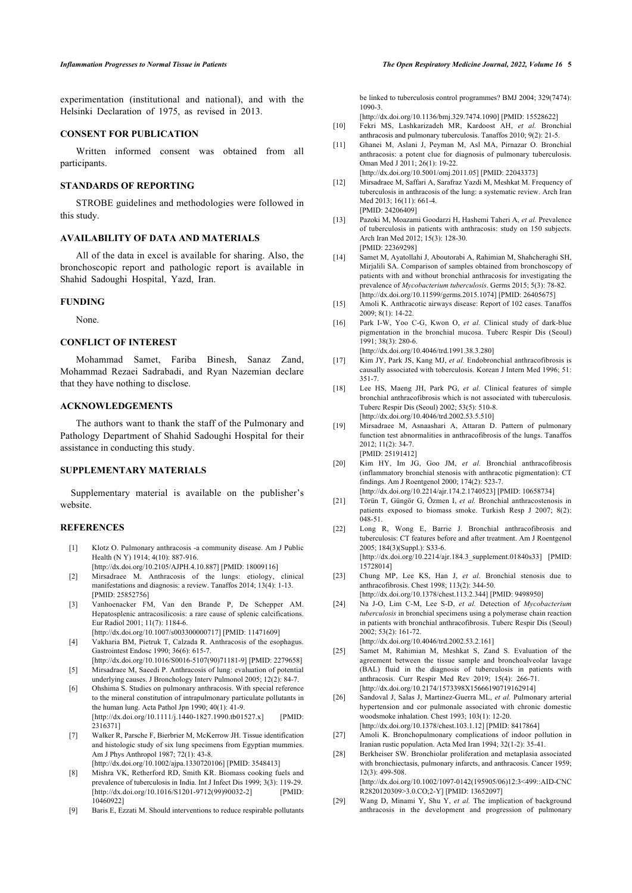experimentation (institutional and national), and with the Helsinki Declaration of 1975, as revised in 2013.

#### <span id="page-4-20"></span>**CONSENT FOR PUBLICATION**

<span id="page-4-18"></span>Written informed consent was obtained from all participants.

#### <span id="page-4-21"></span>**STANDARDS OF REPORTING**

<span id="page-4-19"></span>STROBE guidelines and methodologies were followed in this study.

#### **AVAILABILITY OF DATA AND MATERIALS**

<span id="page-4-6"></span>All of the data in excel is available for sharing. Also, the bronchoscopic report and pathologic report is available in Shahid Sadoughi Hospital, Yazd, Iran.

#### <span id="page-4-8"></span><span id="page-4-7"></span>**FUNDING**

None.

#### **CONFLICT OF INTEREST**

Mohammad Samet, Fariba Binesh, Sanaz Zand, Mohammad Rezaei Sadrabadi, and Ryan Nazemian declare that they have nothing to disclose.

#### **ACKNOWLEDGEMENTS**

<span id="page-4-9"></span>The authors want to thank the staff of the Pulmonary and Pathology Department of Shahid Sadoughi Hospital for their assistance in conducting this study.

#### <span id="page-4-10"></span>**SUPPLEMENTARY MATERIALS**

Supplementary material is available on the publisher's website.

### <span id="page-4-11"></span><span id="page-4-0"></span>**REFERENCES**

- [1] Klotz O. Pulmonary anthracosis -a community disease. Am J Public Health (N Y) 1914; 4(10): 887-916.
- [\[http://dx.doi.org/10.2105/AJPH.4.10.887](http://dx.doi.org/10.2105/AJPH.4.10.887)] [PMID: [18009116\]](http://www.ncbi.nlm.nih.gov/pubmed/18009116)
- <span id="page-4-1"></span>[2] Mirsadraee M. Anthracosis of the lungs: etiology, clinical manifestations and diagnosis: a review. Tanaffos 2014; 13(4): 1-13. [PMID: [25852756](http://www.ncbi.nlm.nih.gov/pubmed/25852756)]
- <span id="page-4-12"></span>[3] Vanhoenacker FM, Van den Brande P, De Schepper AM. Hepatosplenic antracosilicosis: a rare cause of splenic calcifications. Eur Radiol 2001; 11(7): 1184-6. [\[http://dx.doi.org/10.1007/s003300000717\]](http://dx.doi.org/10.1007/s003300000717) [PMID: [11471609\]](http://www.ncbi.nlm.nih.gov/pubmed/11471609)
- <span id="page-4-2"></span>[4] Vakharia BM, Pietruk T, Calzada R. Anthracosis of the esophagus. Gastrointest Endosc 1990; 36(6): 615-7.
- <span id="page-4-13"></span><span id="page-4-3"></span>[\[http://dx.doi.org/10.1016/S0016-5107\(90\)71181-9](http://dx.doi.org/10.1016/S0016-5107(90)71181-9)] [PMID: [2279658](http://www.ncbi.nlm.nih.gov/pubmed/2279658)] [5] Mirsadraee M, Saeedi P. Anthracosis of lung: evaluation of potential
- <span id="page-4-4"></span>underlying causes. J Bronchology Interv Pulmonol 2005; 12(2): 84-7. [6] Ohshima S. Studies on pulmonary anthracosis. With special reference
- <span id="page-4-14"></span>to the mineral constitution of intrapulmonary particulate pollutants in the human lung. Acta Pathol Jpn 1990; 40(1): 41-9. [\[http://dx.doi.org/10.1111/j.1440-1827.1990.tb01527.x](http://dx.doi.org/10.1111/j.1440-1827.1990.tb01527.x)] [PMID: [2316371](http://www.ncbi.nlm.nih.gov/pubmed/2316371)]
- <span id="page-4-15"></span>[7] Walker R, Parsche F, Bierbrier M, McKerrow JH. Tissue identification and histologic study of six lung specimens from Egyptian mummies. Am J Phys Anthropol 1987; 72(1): 43-8. [\[http://dx.doi.org/10.1002/ajpa.1330720106\]](http://dx.doi.org/10.1002/ajpa.1330720106) [PMID: [3548413\]](http://www.ncbi.nlm.nih.gov/pubmed/3548413)
- <span id="page-4-16"></span><span id="page-4-5"></span>[8] Mishra VK, Retherford RD, Smith KR. Biomass cooking fuels and prevalence of tuberculosis in India. Int J Infect Dis 1999; 3(3): 119-29. [\[http://dx.doi.org/10.1016/S1201-9712\(99\)90032-2](http://dx.doi.org/10.1016/S1201-9712(99)90032-2)] [PMID: [10460922\]](http://www.ncbi.nlm.nih.gov/pubmed/10460922)
- <span id="page-4-17"></span>[9] Baris E, Ezzati M. Should interventions to reduce respirable pollutants

be linked to tuberculosis control programmes? BMJ 2004; 329(7474): 1090-3.

[\[http://dx.doi.org/10.1136/bmj.329.7474.1090](http://dx.doi.org/10.1136/bmj.329.7474.1090)] [PMID: [15528622\]](http://www.ncbi.nlm.nih.gov/pubmed/15528622) [10] Fekri MS, Lashkarizadeh MR, Kardoost AH, *et al.* Bronchial

- anthracosis and pulmonary tuberculosis. Tanaffos 2010; 9(2): 21-5. [11] Ghanei M, Aslani J, Peyman M, Asl MA, Pirnazar O. Bronchial
- anthracosis: a potent clue for diagnosis of pulmonary tuberculosis. Oman Med J 2011; 26(1): 19-22. [\[http://dx.doi.org/10.5001/omj.2011.05\]](http://dx.doi.org/10.5001/omj.2011.05) [PMID: [22043373](http://www.ncbi.nlm.nih.gov/pubmed/22043373)]
- [12] Mirsadraee M, Saffari A, Sarafraz Yazdi M, Meshkat M. Frequency of tuberculosis in anthracosis of the lung: a systematic review. Arch Iran Med 2013: 16(11): 661-4. [PMID: [24206409\]](http://www.ncbi.nlm.nih.gov/pubmed/24206409)
- [13] Pazoki M, Moazami Goodarzi H, Hashemi Taheri A, *et al.* Prevalence of tuberculosis in patients with anthracosis: study on 150 subjects. Arch Iran Med 2012; 15(3): 128-30. [PMID: [22369298\]](http://www.ncbi.nlm.nih.gov/pubmed/22369298)
- [14] Samet M, Ayatollahi J, Aboutorabi A, Rahimian M, Shahcheraghi SH, Mirjalili SA. Comparison of samples obtained from bronchoscopy of patients with and without bronchial anthracosis for investigating the prevalence of *Mycobacterium tuberculosis*. Germs 2015; 5(3): 78-82. [\[http://dx.doi.org/10.11599/germs.2015.1074\]](http://dx.doi.org/10.11599/germs.2015.1074) [PMID: [26405675](http://www.ncbi.nlm.nih.gov/pubmed/26405675)]
- [15] Amoli K. Anthracotic airways disease: Report of 102 cases. Tanaffos 2009; 8(1): 14-22.
- [16] Park I-W, Yoo C-G, Kwon O, *et al.* Clinical study of dark-blue pigmentation in the bronchial mucosa. Tuberc Respir Dis (Seoul) 1991; 38(3): 280-6.

[\[http://dx.doi.org/10.4046/trd.1991.38.3.280](http://dx.doi.org/10.4046/trd.1991.38.3.280)]

- [17] Kim JY, Park JS, Kang MJ, *et al.* Endobronchial anthracofibrosis is causally associated with toberculosis. Korean J Intern Med 1996; 51: 351-7.
- [18] Lee HS, Maeng JH, Park PG, *et al.* Clinical features of simple bronchial anthracofibrosis which is not associated with tuberculosis. Tuberc Respir Dis (Seoul) 2002; 53(5): 510-8. [\[http://dx.doi.org/10.4046/trd.2002.53.5.510](http://dx.doi.org/10.4046/trd.2002.53.5.510)]
- [19] Mirsadraee M, Asnaashari A, Attaran D. Pattern of pulmonary function test abnormalities in anthracofibrosis of the lungs. Tanaffos 2012; 11(2): 34-7. [PMID: [25191412\]](http://www.ncbi.nlm.nih.gov/pubmed/25191412)
- [20] Kim HY, Im JG, Goo JM, *et al.* Bronchial anthracofibrosis (inflammatory bronchial stenosis with anthracotic pigmentation): CT findings. Am J Roentgenol 2000; 174(2): 523-7.

[\[http://dx.doi.org/10.2214/ajr.174.2.1740523\]](http://dx.doi.org/10.2214/ajr.174.2.1740523) [PMID: [10658734](http://www.ncbi.nlm.nih.gov/pubmed/10658734)] [21] Törün T, Güngör G, Özmen I, *et al.* Bronchial anthracostenosis in

- patients exposed to biomass smoke. Turkish Resp J 2007; 8(2): 048-51.
- [22] Long R, Wong E, Barrie J. Bronchial anthracofibrosis and tuberculosis: CT features before and after treatment. Am J Roentgenol 2005; 184(3)(Suppl.): S33-6. [\[http://dx.doi.org/10.2214/ajr.184.3\\_supplement.01840s33](http://dx.doi.org/10.2214/ajr.184.3_supplement.01840s33)] [PMID:

[15728014\]](http://www.ncbi.nlm.nih.gov/pubmed/15728014) [23] Chung MP, Lee KS, Han J, *et al.* Bronchial stenosis due to

- anthracofibrosis. Chest 1998; 113(2): 344-50. [\[http://dx.doi.org/10.1378/chest.113.2.344\]](http://dx.doi.org/10.1378/chest.113.2.344) [PMID: [9498950\]](http://www.ncbi.nlm.nih.gov/pubmed/9498950)
- [24] Na J-O, Lim C-M, Lee S-D, *et al.* Detection of *Mycobacterium tuberculosis* in bronchial specimens using a polymerase chain reaction in patients with bronchial anthracofibrosis. Tuberc Respir Dis (Seoul) 2002; 53(2): 161-72.

[\[http://dx.doi.org/10.4046/trd.2002.53.2.161](http://dx.doi.org/10.4046/trd.2002.53.2.161)]

- [25] Samet M, Rahimian M, Meshkat S, Zand S. Evaluation of the agreement between the tissue sample and bronchoalveolar lavage (BAL) fluid in the diagnosis of tuberculosis in patients with anthracosis. Curr Respir Med Rev 2019; 15(4): 266-71. [\[http://dx.doi.org/10.2174/1573398X15666190719162914\]](http://dx.doi.org/10.2174/1573398X15666190719162914)
- [26] Sandoval J, Salas J, Martinez-Guerra ML, *et al.* Pulmonary arterial hypertension and cor pulmonale associated with chronic domestic woodsmoke inhalation. Chest 1993; 103(1): 12-20. [\[http://dx.doi.org/10.1378/chest.103.1.12](http://dx.doi.org/10.1378/chest.103.1.12)] [PMID: [8417864](http://www.ncbi.nlm.nih.gov/pubmed/8417864)]
- [27] Amoli K. Bronchopulmonary complications of indoor pollution in Iranian rustic population. Acta Med Iran 1994; 32(1-2): 35-41.
- [28] Berkheiser SW. Bronchiolar proliferation and metaplasia associated with bronchiectasis, pulmonary infarcts, and anthracosis. Cancer 1959; 12(3): 499-508. [\[http://dx.doi.org/10.1002/1097-0142\(195905/06\)12:3<499::AID-CNC](http://dx.doi.org/10.1002/1097-0142(195905/06)12:3<499::AID-CNCR2820120309>3.0.CO;2-Y)

[R2820120309>3.0.CO;2-Y\]](http://dx.doi.org/10.1002/1097-0142(195905/06)12:3<499::AID-CNCR2820120309>3.0.CO;2-Y) [PMID: [13652097](http://www.ncbi.nlm.nih.gov/pubmed/13652097)]

[29] Wang D, Minami Y, Shu Y, et al. The implication of background anthracosis in the development and progression of pulmonary